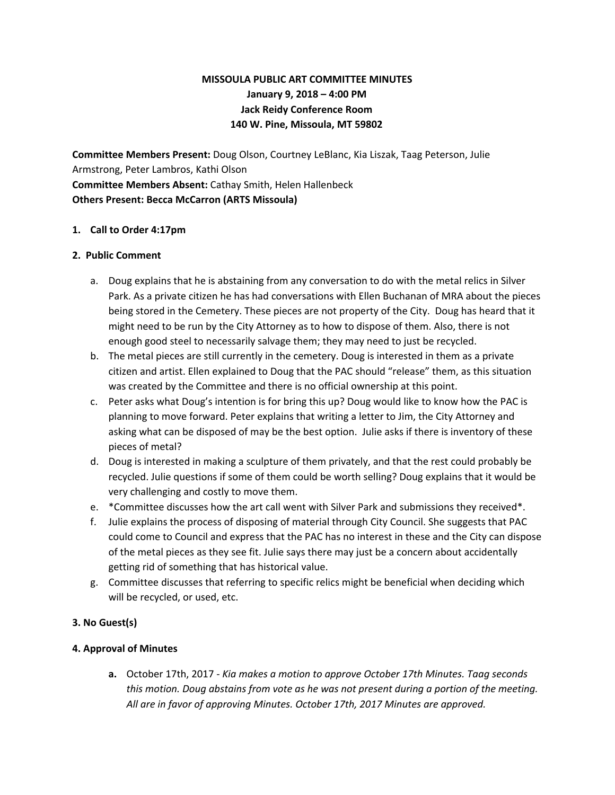# **MISSOULA PUBLIC ART COMMITTEE MINUTES January 9, 2018 – 4:00 PM Jack Reidy Conference Room 140 W. Pine, Missoula, MT 59802**

**Committee Members Present:** Doug Olson, Courtney LeBlanc, Kia Liszak, Taag Peterson, Julie Armstrong, Peter Lambros, Kathi Olson **Committee Members Absent:** Cathay Smith, Helen Hallenbeck **Others Present: Becca McCarron (ARTS Missoula)**

#### **1. Call to Order 4:17pm**

#### **2. Public Comment**

- a. Doug explains that he is abstaining from any conversation to do with the metal relics in Silver Park. As a private citizen he has had conversations with Ellen Buchanan of MRA about the pieces being stored in the Cemetery. These pieces are not property of the City. Doug has heard that it might need to be run by the City Attorney as to how to dispose of them. Also, there is not enough good steel to necessarily salvage them; they may need to just be recycled.
- b. The metal pieces are still currently in the cemetery. Doug is interested in them as a private citizen and artist. Ellen explained to Doug that the PAC should "release" them, as this situation was created by the Committee and there is no official ownership at this point.
- c. Peter asks what Doug's intention is for bring this up? Doug would like to know how the PAC is planning to move forward. Peter explains that writing a letter to Jim, the City Attorney and asking what can be disposed of may be the best option. Julie asks if there is inventory of these pieces of metal?
- d. Doug is interested in making a sculpture of them privately, and that the rest could probably be recycled. Julie questions if some of them could be worth selling? Doug explains that it would be very challenging and costly to move them.
- e. \*Committee discusses how the art call went with Silver Park and submissions they received\*.
- f. Julie explains the process of disposing of material through City Council. She suggests that PAC could come to Council and express that the PAC has no interest in these and the City can dispose of the metal pieces as they see fit. Julie says there may just be a concern about accidentally getting rid of something that has historical value.
- g. Committee discusses that referring to specific relics might be beneficial when deciding which will be recycled, or used, etc.

#### **3. No Guest(s)**

#### **4. Approval of Minutes**

**a.** October 17th, 2017 - *Kia makes a motion to approve October 17th Minutes. Taag seconds this motion. Doug abstains from vote as he was not present during a portion of the meeting. All are in favor of approving Minutes. October 17th, 2017 Minutes are approved.*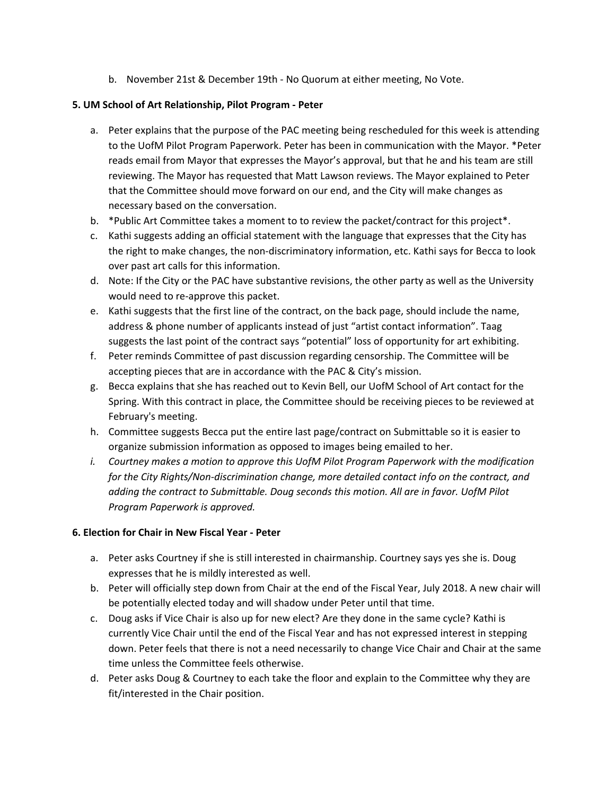b. November 21st & December 19th - No Quorum at either meeting, No Vote.

## **5. UM School of Art Relationship, Pilot Program - Peter**

- a. Peter explains that the purpose of the PAC meeting being rescheduled for this week is attending to the UofM Pilot Program Paperwork. Peter has been in communication with the Mayor. \*Peter reads email from Mayor that expresses the Mayor's approval, but that he and his team are still reviewing. The Mayor has requested that Matt Lawson reviews. The Mayor explained to Peter that the Committee should move forward on our end, and the City will make changes as necessary based on the conversation.
- b. \*Public Art Committee takes a moment to to review the packet/contract for this project\*.
- c. Kathi suggests adding an official statement with the language that expresses that the City has the right to make changes, the non-discriminatory information, etc. Kathi says for Becca to look over past art calls for this information.
- d. Note: If the City or the PAC have substantive revisions, the other party as well as the University would need to re-approve this packet.
- e. Kathi suggests that the first line of the contract, on the back page, should include the name, address & phone number of applicants instead of just "artist contact information". Taag suggests the last point of the contract says "potential" loss of opportunity for art exhibiting.
- f. Peter reminds Committee of past discussion regarding censorship. The Committee will be accepting pieces that are in accordance with the PAC & City's mission.
- g. Becca explains that she has reached out to Kevin Bell, our UofM School of Art contact for the Spring. With this contract in place, the Committee should be receiving pieces to be reviewed at February's meeting.
- h. Committee suggests Becca put the entire last page/contract on Submittable so it is easier to organize submission information as opposed to images being emailed to her.
- *i. Courtney makes a motion to approve this UofM Pilot Program Paperwork with the modification for the City Rights/Non-discrimination change, more detailed contact info on the contract, and adding the contract to Submittable. Doug seconds this motion. All are in favor. UofM Pilot Program Paperwork is approved.*

# **6. Election for Chair in New Fiscal Year - Peter**

- a. Peter asks Courtney if she is still interested in chairmanship. Courtney says yes she is. Doug expresses that he is mildly interested as well.
- b. Peter will officially step down from Chair at the end of the Fiscal Year, July 2018. A new chair will be potentially elected today and will shadow under Peter until that time.
- c. Doug asks if Vice Chair is also up for new elect? Are they done in the same cycle? Kathi is currently Vice Chair until the end of the Fiscal Year and has not expressed interest in stepping down. Peter feels that there is not a need necessarily to change Vice Chair and Chair at the same time unless the Committee feels otherwise.
- d. Peter asks Doug & Courtney to each take the floor and explain to the Committee why they are fit/interested in the Chair position.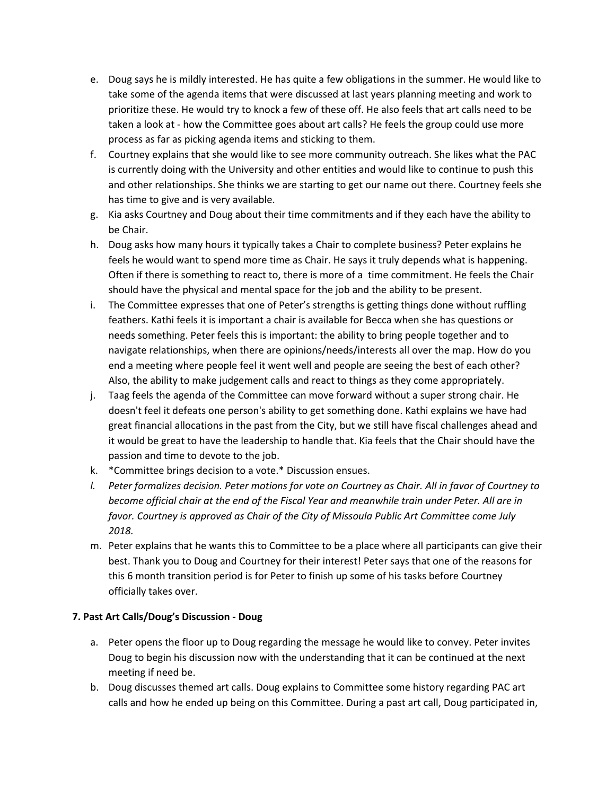- e. Doug says he is mildly interested. He has quite a few obligations in the summer. He would like to take some of the agenda items that were discussed at last years planning meeting and work to prioritize these. He would try to knock a few of these off. He also feels that art calls need to be taken a look at - how the Committee goes about art calls? He feels the group could use more process as far as picking agenda items and sticking to them.
- f. Courtney explains that she would like to see more community outreach. She likes what the PAC is currently doing with the University and other entities and would like to continue to push this and other relationships. She thinks we are starting to get our name out there. Courtney feels she has time to give and is very available.
- g. Kia asks Courtney and Doug about their time commitments and if they each have the ability to be Chair.
- h. Doug asks how many hours it typically takes a Chair to complete business? Peter explains he feels he would want to spend more time as Chair. He says it truly depends what is happening. Often if there is something to react to, there is more of a time commitment. He feels the Chair should have the physical and mental space for the job and the ability to be present.
- i. The Committee expresses that one of Peter's strengths is getting things done without ruffling feathers. Kathi feels it is important a chair is available for Becca when she has questions or needs something. Peter feels this is important: the ability to bring people together and to navigate relationships, when there are opinions/needs/interests all over the map. How do you end a meeting where people feel it went well and people are seeing the best of each other? Also, the ability to make judgement calls and react to things as they come appropriately.
- j. Taag feels the agenda of the Committee can move forward without a super strong chair. He doesn't feel it defeats one person's ability to get something done. Kathi explains we have had great financial allocations in the past from the City, but we still have fiscal challenges ahead and it would be great to have the leadership to handle that. Kia feels that the Chair should have the passion and time to devote to the job.
- k. \*Committee brings decision to a vote.\* Discussion ensues.
- I. Peter formalizes decision. Peter motions for vote on Courtney as Chair. All in favor of Courtney to *become official chair at the end of the Fiscal Year and meanwhile train under Peter. All are in favor. Courtney is approved as Chair of the City of Missoula Public Art Committee come July 2018.*
- m. Peter explains that he wants this to Committee to be a place where all participants can give their best. Thank you to Doug and Courtney for their interest! Peter says that one of the reasons for this 6 month transition period is for Peter to finish up some of his tasks before Courtney officially takes over.

# **7. Past Art Calls/Doug's Discussion - Doug**

- a. Peter opens the floor up to Doug regarding the message he would like to convey. Peter invites Doug to begin his discussion now with the understanding that it can be continued at the next meeting if need be.
- b. Doug discusses themed art calls. Doug explains to Committee some history regarding PAC art calls and how he ended up being on this Committee. During a past art call, Doug participated in,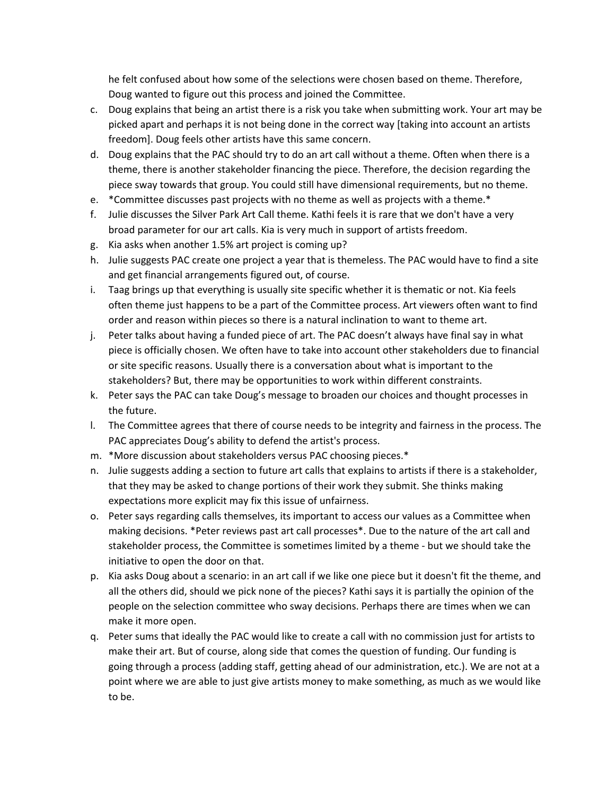he felt confused about how some of the selections were chosen based on theme. Therefore, Doug wanted to figure out this process and joined the Committee.

- c. Doug explains that being an artist there is a risk you take when submitting work. Your art may be picked apart and perhaps it is not being done in the correct way [taking into account an artists freedom]. Doug feels other artists have this same concern.
- d. Doug explains that the PAC should try to do an art call without a theme. Often when there is a theme, there is another stakeholder financing the piece. Therefore, the decision regarding the piece sway towards that group. You could still have dimensional requirements, but no theme.
- e. \*Committee discusses past projects with no theme as well as projects with a theme.\*
- f. Julie discusses the Silver Park Art Call theme. Kathi feels it is rare that we don't have a very broad parameter for our art calls. Kia is very much in support of artists freedom.
- g. Kia asks when another 1.5% art project is coming up?
- h. Julie suggests PAC create one project a year that is themeless. The PAC would have to find a site and get financial arrangements figured out, of course.
- i. Taag brings up that everything is usually site specific whether it is thematic or not. Kia feels often theme just happens to be a part of the Committee process. Art viewers often want to find order and reason within pieces so there is a natural inclination to want to theme art.
- j. Peter talks about having a funded piece of art. The PAC doesn't always have final say in what piece is officially chosen. We often have to take into account other stakeholders due to financial or site specific reasons. Usually there is a conversation about what is important to the stakeholders? But, there may be opportunities to work within different constraints.
- k. Peter says the PAC can take Doug's message to broaden our choices and thought processes in the future.
- l. The Committee agrees that there of course needs to be integrity and fairness in the process. The PAC appreciates Doug's ability to defend the artist's process.
- m. \*More discussion about stakeholders versus PAC choosing pieces.\*
- n. Julie suggests adding a section to future art calls that explains to artists if there is a stakeholder, that they may be asked to change portions of their work they submit. She thinks making expectations more explicit may fix this issue of unfairness.
- o. Peter says regarding calls themselves, its important to access our values as a Committee when making decisions. \*Peter reviews past art call processes\*. Due to the nature of the art call and stakeholder process, the Committee is sometimes limited by a theme - but we should take the initiative to open the door on that.
- p. Kia asks Doug about a scenario: in an art call if we like one piece but it doesn't fit the theme, and all the others did, should we pick none of the pieces? Kathi says it is partially the opinion of the people on the selection committee who sway decisions. Perhaps there are times when we can make it more open.
- q. Peter sums that ideally the PAC would like to create a call with no commission just for artists to make their art. But of course, along side that comes the question of funding. Our funding is going through a process (adding staff, getting ahead of our administration, etc.). We are not at a point where we are able to just give artists money to make something, as much as we would like to be.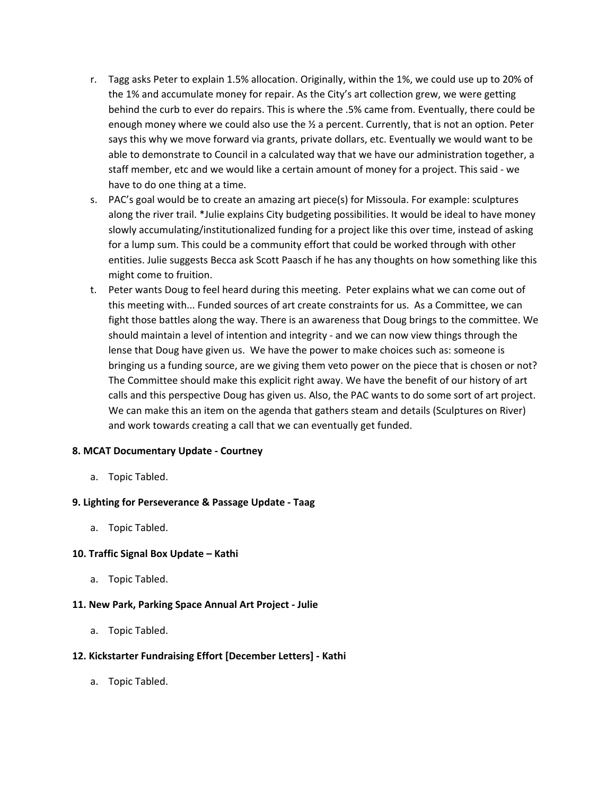- r. Tagg asks Peter to explain 1.5% allocation. Originally, within the 1%, we could use up to 20% of the 1% and accumulate money for repair. As the City's art collection grew, we were getting behind the curb to ever do repairs. This is where the .5% came from. Eventually, there could be enough money where we could also use the  $\frac{1}{2}$  a percent. Currently, that is not an option. Peter says this why we move forward via grants, private dollars, etc. Eventually we would want to be able to demonstrate to Council in a calculated way that we have our administration together, a staff member, etc and we would like a certain amount of money for a project. This said - we have to do one thing at a time.
- s. PAC's goal would be to create an amazing art piece(s) for Missoula. For example: sculptures along the river trail. \*Julie explains City budgeting possibilities. It would be ideal to have money slowly accumulating/institutionalized funding for a project like this over time, instead of asking for a lump sum. This could be a community effort that could be worked through with other entities. Julie suggests Becca ask Scott Paasch if he has any thoughts on how something like this might come to fruition.
- t. Peter wants Doug to feel heard during this meeting. Peter explains what we can come out of this meeting with... Funded sources of art create constraints for us. As a Committee, we can fight those battles along the way. There is an awareness that Doug brings to the committee. We should maintain a level of intention and integrity - and we can now view things through the lense that Doug have given us. We have the power to make choices such as: someone is bringing us a funding source, are we giving them veto power on the piece that is chosen or not? The Committee should make this explicit right away. We have the benefit of our history of art calls and this perspective Doug has given us. Also, the PAC wants to do some sort of art project. We can make this an item on the agenda that gathers steam and details (Sculptures on River) and work towards creating a call that we can eventually get funded.

#### **8. MCAT Documentary Update - Courtney**

a. Topic Tabled.

#### **9. Lighting for Perseverance & Passage Update - Taag**

a. Topic Tabled.

#### **10. Traffic Signal Box Update – Kathi**

a. Topic Tabled.

#### **11. New Park, Parking Space Annual Art Project - Julie**

a. Topic Tabled.

#### **12. Kickstarter Fundraising Effort [December Letters] - Kathi**

a. Topic Tabled.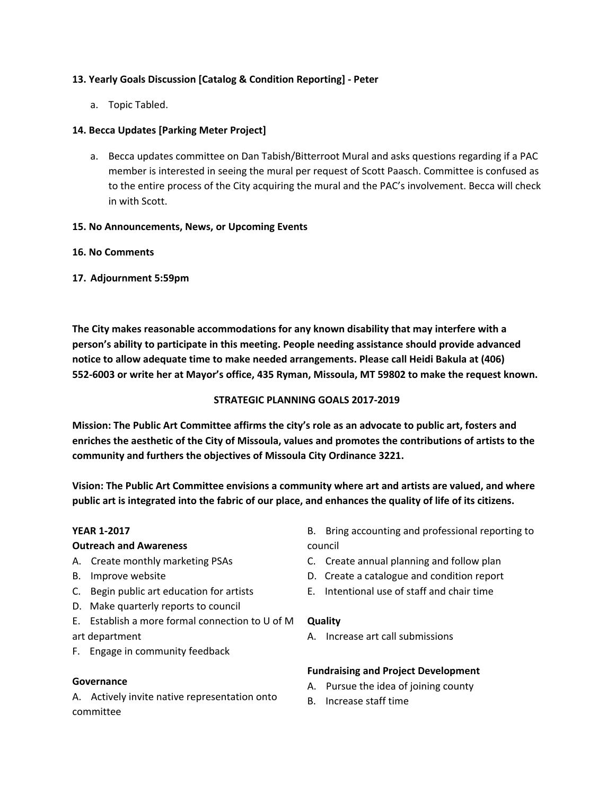## **13. Yearly Goals Discussion [Catalog & Condition Reporting] - Peter**

a. Topic Tabled.

## **14. Becca Updates [Parking Meter Project]**

a. Becca updates committee on Dan Tabish/Bitterroot Mural and asks questions regarding if a PAC member is interested in seeing the mural per request of Scott Paasch. Committee is confused as to the entire process of the City acquiring the mural and the PAC's involvement. Becca will check in with Scott.

#### **15. No Announcements, News, or Upcoming Events**

#### **16. No Comments**

**17. Adjournment 5:59pm**

**The City makes reasonable accommodations for any known disability that may interfere with a person's ability to participate in this meeting. People needing assistance should provide advanced notice to allow adequate time to make needed arrangements. Please call Heidi Bakula at (406) 552-6003 or write her at Mayor's office, 435 Ryman, Missoula, MT 59802 to make the request known.**

### **STRATEGIC PLANNING GOALS 2017-2019**

**Mission: The Public Art Committee affirms the city's role as an advocate to public art, fosters and enriches the aesthetic of the City of Missoula, values and promotes the contributions of artists to the community and furthers the objectives of Missoula City Ordinance 3221.**

**Vision: The Public Art Committee envisions a community where art and artists are valued, and where** public art is integrated into the fabric of our place, and enhances the quality of life of its citizens.

#### **YEAR 1-2017**

#### **Outreach and Awareness**

- A. Create monthly marketing PSAs
- B. Improve website
- C. Begin public art education for artists
- D. Make quarterly reports to council
- E. Establish a more formal connection to U of M **Quality** art department
- F. Engage in community feedback

#### **Governance**

A. Actively invite native representation onto committee

B. Bring accounting and professional reporting to council

- C. Create annual planning and follow plan
- D. Create a catalogue and condition report
- E. Intentional use of staff and chair time

A. Increase art call submissions

# **Fundraising and Project Development**

- A. Pursue the idea of joining county
- B. Increase staff time